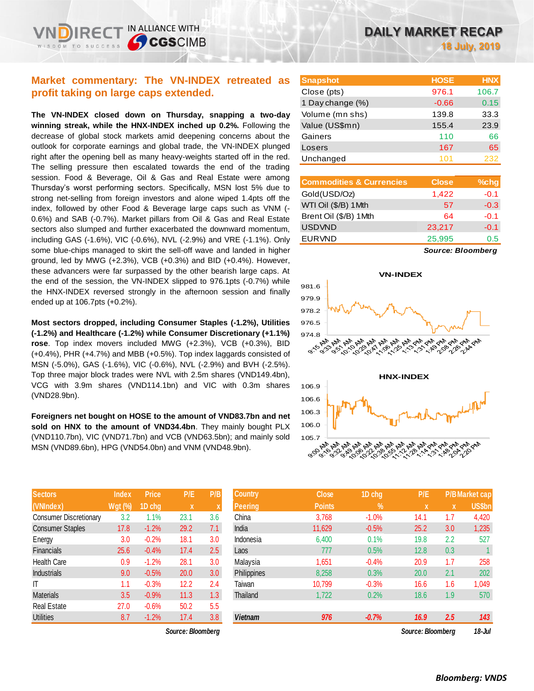## **Market commentary: The VN-INDEX retreated as profit taking on large caps extended.**

**The VN-INDEX closed down on Thursday, snapping a two-day winning streak, while the HNX-INDEX inched up 0.2%.** Following the decrease of global stock markets amid deepening concerns about the outlook for corporate earnings and global trade, the VN-INDEX plunged right after the opening bell as many heavy-weights started off in the red. The selling pressure then escalated towards the end of the trading session. Food & Beverage, Oil & Gas and Real Estate were among Thursday's worst performing sectors. Specifically, MSN lost 5% due to strong net-selling from foreign investors and alone wiped 1.4pts off the index, followed by other Food & Beverage large caps such as VNM (- 0.6%) and SAB (-0.7%). Market pillars from Oil & Gas and Real Estate sectors also slumped and further exacerbated the downward momentum, including GAS (-1.6%), VIC (-0.6%), NVL (-2.9%) and VRE (-1.1%). Only some blue-chips managed to skirt the sell-off wave and landed in higher ground, led by MWG (+2.3%), VCB (+0.3%) and BID (+0.4%). However, these advancers were far surpassed by the other bearish large caps. At the end of the session, the VN-INDEX slipped to 976.1pts (-0.7%) while the HNX-INDEX reversed strongly in the afternoon session and finally ended up at 106.7pts (+0.2%).

**Most sectors dropped, including Consumer Staples (-1.2%), Utilities (-1.2%) and Healthcare (-1.2%) while Consumer Discretionary (+1.1%) rose**. Top index movers included MWG (+2.3%), VCB (+0.3%), BID (+0.4%), PHR (+4.7%) and MBB (+0.5%). Top index laggards consisted of MSN (-5.0%), GAS (-1.6%), VIC (-0.6%), NVL (-2.9%) and BVH (-2.5%). Top three major block trades were NVL with 2.5m shares (VND149.4bn), VCG with 3.9m shares (VND114.1bn) and VIC with 0.3m shares (VND28.9bn).

**Foreigners net bought on HOSE to the amount of VND83.7bn and net sold on HNX to the amount of VND34.4bn**. They mainly bought PLX (VND110.7bn), VIC (VND71.7bn) and VCB (VND63.5bn); and mainly sold MSN (VND89.6bn), HPG (VND54.0bn) and VNM (VND48.9bn).

| <b>Sectors</b>                | <b>Index</b>   | <b>Price</b> | P/E  | P/B |
|-------------------------------|----------------|--------------|------|-----|
| (VNIndex)                     | <b>Wgt (%)</b> | 1D chg       | X    | X   |
| <b>Consumer Discretionary</b> | 3.2            | 1.1%         | 23.1 | 3.6 |
| <b>Consumer Staples</b>       | 17.8           | $-1.2%$      | 29.2 | 7.1 |
| Energy                        | 3.0            | $-0.2%$      | 18.1 | 3.0 |
| <b>Financials</b>             | 25.6           | $-0.4%$      | 17.4 | 2.5 |
| <b>Health Care</b>            | 0.9            | $-1.2%$      | 28.1 | 3.0 |
| <b>Industrials</b>            | 9.0            | $-0.5%$      | 20.0 | 3.0 |
| ıτ                            | 1.1            | $-0.3%$      | 12.2 | 2.4 |
| <b>Materials</b>              | 3.5            | $-0.9%$      | 11.3 | 1.3 |
| <b>Real Estate</b>            | 27.0           | $-0.6%$      | 50.2 | 5.5 |
| <b>Utilities</b>              | 8.7            | $-1.2%$      | 17.4 | 3.8 |

*Source: Bloomberg Source: Bloomberg 18-Jul*

| <b>Snapshot</b>  | <b>HOSE</b> | <b>HNX</b> |
|------------------|-------------|------------|
| Close (pts)      | 976.1       | 106.7      |
| 1 Day change (%) | $-0.66$     | 0.15       |
| Volume (mn shs)  | 139.8       | 33.3       |
| Value (US\$mn)   | 155.4       | 23.9       |
| Gainers          | 110         | 66         |
| Losers           | 167         | 65         |
| Unchanged        | 101         | 232        |

| <b>Commodities &amp; Currencies</b> | <b>Close</b> | $%$ chg |
|-------------------------------------|--------------|---------|
| Gold(USD/Oz)                        | 1,422        | $-0.1$  |
| WTI Oil (\$/B) 1Mth                 | 57           | $-0.3$  |
| Brent Oil (\$/B) 1Mth               | 64           | $-0.1$  |
| <b>USDVND</b>                       | 23,217       | $-0.1$  |
| <b>EURVND</b>                       | 25,995       | 0.5     |
|                                     |              |         |

*Source: Bloomberg*



| <b>Sectors</b>         | <b>Index</b> | <b>Price</b> | P/E               | P/B | <b>Country</b> | <b>Close</b>  | 1D chg        | P/E               |             | P/B Market cap |
|------------------------|--------------|--------------|-------------------|-----|----------------|---------------|---------------|-------------------|-------------|----------------|
| (VNIndex)              | Wgt (%)      | 1D chg       | $\mathbf x$       |     | Peering        | <b>Points</b> | $\frac{9}{6}$ | X                 | $\mathbf x$ | <b>US\$bn</b>  |
| Consumer Discretionary | 3.2          | 1.1%         | 23.1              | 3.6 | China          | 3,768         | $-1.0%$       | 14.1              | 1.7         | 4,420          |
| Consumer Staples       | 17.8         | $-1.2%$      | 29.2              | 7.1 | India          | 11,629        | $-0.5%$       | 25.2              | 3.0         | 1,235          |
| Energy                 | 3.0          | $-0.2%$      | 18.1              | 3.0 | Indonesia      | 6,400         | 0.1%          | 19.8              | 2.2         | 527            |
| Financials             | 25.6         | $-0.4%$      | 17.4              | 2.5 | Laos           | 777           | 0.5%          | 12.8              | 0.3         |                |
| Health Care            | 0.9          | $-1.2%$      | 28.1              | 3.0 | Malaysia       | 1,651         | $-0.4%$       | 20.9              | 1.7         | 258            |
| Industrials            | 9.0          | $-0.5%$      | 20.0              | 3.0 | Philippines    | 8,258         | 0.3%          | 20.0              | 2.1         | 202            |
| Т                      | 1.1          | $-0.3%$      | 12.2              | 2.4 | Taiwan         | 10,799        | $-0.3%$       | 16.6              | 1.6         | 1,049          |
| Materials              | 3.5          | $-0.9%$      | 11.3              | 1.3 | Thailand       | 1,722         | 0.2%          | 18.6              | 1.9         | 570            |
| Real Estate            | 27.0         | $-0.6%$      | 50.2              | 5.5 |                |               |               |                   |             |                |
| <b>Utilities</b>       | 8.7          | $-1.2%$      | 17.4              | 3.8 | <b>Vietnam</b> | 976           | $-0.7%$       | 16.9              | 2.5         | 143            |
|                        |              |              | Source: Bloomberg |     |                |               |               | Source: Bloomberg |             | $18 - h$       |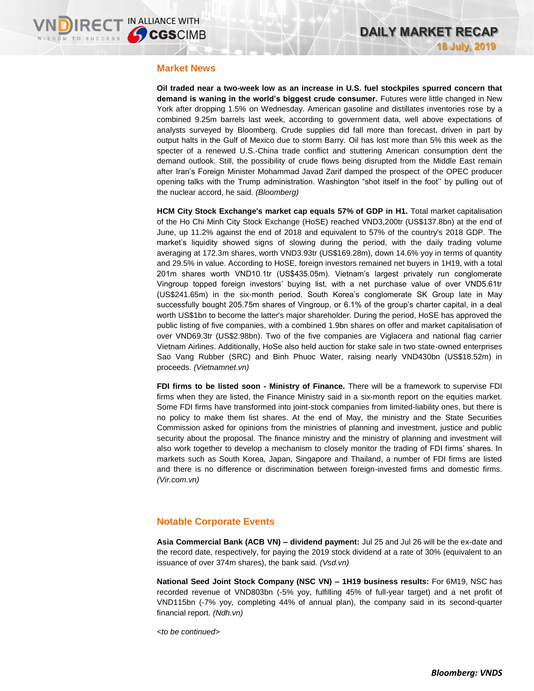## **Market News**

**Oil traded near a two-week low as an increase in U.S. fuel stockpiles spurred concern that demand is waning in the world's biggest crude consumer.** Futures were little changed in New York after dropping 1.5% on Wednesday. American gasoline and distillates inventories rose by a combined 9.25m barrels last week, according to government data, well above expectations of analysts surveyed by Bloomberg. Crude supplies did fall more than forecast, driven in part by output halts in the Gulf of Mexico due to storm Barry. Oil has lost more than 5% this week as the specter of a renewed U.S.-China trade conflict and stuttering American consumption dent the demand outlook. Still, the possibility of crude flows being disrupted from the Middle East remain after Iran's Foreign Minister Mohammad Javad Zarif damped the prospect of the OPEC producer opening talks with the Trump administration. Washington "shot itself in the foot'' by pulling out of the nuclear accord, he said. *(Bloomberg)*

**HCM City Stock Exchange's market cap equals 57% of GDP in H1.** Total market capitalisation of the Ho Chi Minh City Stock Exchange (HoSE) reached VND3,200tr (US\$137.8bn) at the end of June, up 11.2% against the end of 2018 and equivalent to 57% of the country's 2018 GDP. The market's liquidity showed signs of slowing during the period, with the daily trading volume averaging at 172.3m shares, worth VND3.93tr (US\$169.28m), down 14.6% yoy in terms of quantity and 29.5% in value. According to HoSE, foreign investors remained net buyers in 1H19, with a total 201m shares worth VND10.1tr (US\$435.05m). Vietnam's largest privately run conglomerate Vingroup topped foreign investors' buying list, with a net purchase value of over VND5.61tr (US\$241.65m) in the six-month period. South Korea's conglomerate SK Group late in May successfully bought 205.75m shares of Vingroup, or 6.1% of the group's charter capital, in a deal worth US\$1bn to become the latter's major shareholder. During the period, HoSE has approved the public listing of five companies, with a combined 1.9bn shares on offer and market capitalisation of over VND69.3tr (US\$2.98bn). Two of the five companies are Viglacera and national flag carrier Vietnam Airlines. Additionally, HoSe also held auction for stake sale in two state-owned enterprises Sao Vang Rubber (SRC) and Binh Phuoc Water, raising nearly VND430bn (US\$18.52m) in proceeds. *(Vietnamnet.vn)*

**FDI firms to be listed soon - Ministry of Finance.** There will be a framework to supervise FDI firms when they are listed, the Finance Ministry said in a six-month report on the equities market. Some FDI firms have transformed into joint-stock companies from limited-liability ones, but there is no policy to make them list shares. At the end of May, the ministry and the State Securities Commission asked for opinions from the ministries of planning and investment, justice and public security about the proposal. The finance ministry and the ministry of planning and investment will also work together to develop a mechanism to closely monitor the trading of FDI firms' shares. In markets such as South Korea, Japan, Singapore and Thailand, a number of FDI firms are listed and there is no difference or discrimination between foreign-invested firms and domestic firms. *(Vir.com.vn)*

## **Notable Corporate Events**

**Asia Commercial Bank (ACB VN) – dividend payment:** Jul 25 and Jul 26 will be the ex-date and the record date, respectively, for paying the 2019 stock dividend at a rate of 30% (equivalent to an issuance of over 374m shares), the bank said. *(Vsd.vn)*

**National Seed Joint Stock Company (NSC VN) – 1H19 business results:** For 6M19, NSC has recorded revenue of VND803bn (-5% yoy, fulfilling 45% of full-year target) and a net profit of VND115bn (-7% yoy, completing 44% of annual plan), the company said in its second-quarter financial report. *(Ndh.vn)*

*<to be continued>*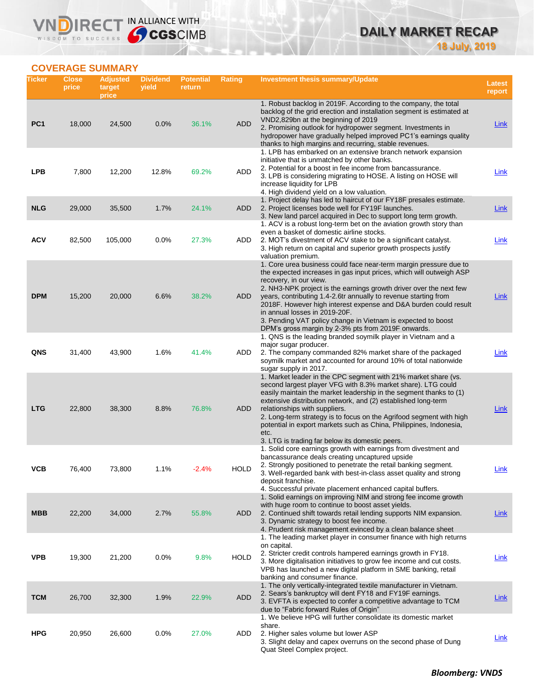## **DAILY MARKET RECAP 18 July, 2019**

## **COVERAGE SUMMARY**

WISDOM TO SUCCESS

VND

IRECT IN ALLIANCE WITH

| Ticker          | <b>Close</b><br>price | <b>Adjusted</b><br>target<br>price | <b>Dividend</b><br>yield | <b>Potential</b><br>return | Rating      | <b>Investment thesis summary/Update</b>                                                                                                                                                                                                                                                                                                                                                                                                                                                                                                | <b>Latest</b><br>report |
|-----------------|-----------------------|------------------------------------|--------------------------|----------------------------|-------------|----------------------------------------------------------------------------------------------------------------------------------------------------------------------------------------------------------------------------------------------------------------------------------------------------------------------------------------------------------------------------------------------------------------------------------------------------------------------------------------------------------------------------------------|-------------------------|
| PC <sub>1</sub> | 18,000                | 24,500                             | 0.0%                     | 36.1%                      | <b>ADD</b>  | 1. Robust backlog in 2019F. According to the company, the total<br>backlog of the grid erection and installation segment is estimated at<br>VND2,829bn at the beginning of 2019<br>2. Promising outlook for hydropower segment. Investments in<br>hydropower have gradually helped improved PC1's earnings quality                                                                                                                                                                                                                     | <b>Link</b>             |
| <b>LPB</b>      | 7,800                 | 12,200                             | 12.8%                    | 69.2%                      | ADD         | thanks to high margins and recurring, stable revenues.<br>1. LPB has embarked on an extensive branch network expansion<br>initiative that is unmatched by other banks.<br>2. Potential for a boost in fee income from bancassurance.<br>3. LPB is considering migrating to HOSE. A listing on HOSE will<br>increase liquidity for LPB<br>4. High dividend yield on a low valuation.                                                                                                                                                    | Link                    |
| <b>NLG</b>      | 29,000                | 35,500                             | 1.7%                     | 24.1%                      | ADD         | 1. Project delay has led to haircut of our FY18F presales estimate.<br>2. Project licenses bode well for FY19F launches.<br>3. New land parcel acquired in Dec to support long term growth.<br>1. ACV is a robust long-term bet on the aviation growth story than                                                                                                                                                                                                                                                                      | Link                    |
| <b>ACV</b>      | 82,500                | 105,000                            | 0.0%                     | 27.3%                      | ADD         | even a basket of domestic airline stocks.<br>2. MOT's divestment of ACV stake to be a significant catalyst.<br>3. High return on capital and superior growth prospects justify<br>valuation premium.                                                                                                                                                                                                                                                                                                                                   | <b>Link</b>             |
| <b>DPM</b>      | 15,200                | 20,000                             | 6.6%                     | 38.2%                      | ADD         | 1. Core urea business could face near-term margin pressure due to<br>the expected increases in gas input prices, which will outweigh ASP<br>recovery, in our view.<br>2. NH3-NPK project is the earnings growth driver over the next few<br>years, contributing 1.4-2.6tr annually to revenue starting from<br>2018F. However high interest expense and D&A burden could result<br>in annual losses in 2019-20F.<br>3. Pending VAT policy change in Vietnam is expected to boost<br>DPM's gross margin by 2-3% pts from 2019F onwards. | Link                    |
| QNS             | 31,400                | 43,900                             | 1.6%                     | 41.4%                      | ADD         | 1. QNS is the leading branded soymilk player in Vietnam and a<br>major sugar producer.<br>2. The company commanded 82% market share of the packaged<br>soymilk market and accounted for around 10% of total nationwide<br>sugar supply in 2017.                                                                                                                                                                                                                                                                                        | Link                    |
| LTG             | 22,800                | 38,300                             | 8.8%                     | 76.8%                      | ADD         | 1. Market leader in the CPC segment with 21% market share (vs.<br>second largest player VFG with 8.3% market share). LTG could<br>easily maintain the market leadership in the segment thanks to (1)<br>extensive distribution network, and (2) established long-term<br>relationships with suppliers.<br>2. Long-term strategy is to focus on the Agrifood segment with high<br>potential in export markets such as China, Philippines, Indonesia,<br>etc.<br>3. LTG is trading far below its domestic peers.                         | Link                    |
| ۷СВ             | 76,400                | 73,800                             | 1.1%                     | -2.4%                      | <b>HOLD</b> | 1. Solid core earnings growth with earnings from divestment and<br>bancassurance deals creating uncaptured upside<br>2. Strongly positioned to penetrate the retail banking segment.<br>3. Well-regarded bank with best-in-class asset quality and strong<br>deposit franchise.<br>4. Successful private placement enhanced capital buffers.                                                                                                                                                                                           | <b>Link</b>             |
| <b>MBB</b>      | 22,200                | 34,000                             | 2.7%                     | 55.8%                      | ADD         | 1. Solid earnings on improving NIM and strong fee income growth<br>with huge room to continue to boost asset yields.<br>2. Continued shift towards retail lending supports NIM expansion.<br>3. Dynamic strategy to boost fee income.<br>4. Prudent risk management evinced by a clean balance sheet                                                                                                                                                                                                                                   | <u>Link</u>             |
| <b>VPB</b>      | 19,300                | 21,200                             | 0.0%                     | 9.8%                       | <b>HOLD</b> | 1. The leading market player in consumer finance with high returns<br>on capital.<br>2. Stricter credit controls hampered earnings growth in FY18.<br>3. More digitalisation initiatives to grow fee income and cut costs.<br>VPB has launched a new digital platform in SME banking, retail<br>banking and consumer finance.                                                                                                                                                                                                          | <b>Link</b>             |
| <b>TCM</b>      | 26,700                | 32,300                             | 1.9%                     | 22.9%                      | <b>ADD</b>  | 1. The only vertically-integrated textile manufacturer in Vietnam.<br>2. Sears's bankruptcy will dent FY18 and FY19F earnings.<br>3. EVFTA is expected to confer a competitive advantage to TCM<br>due to "Fabric forward Rules of Origin"                                                                                                                                                                                                                                                                                             | <b>Link</b>             |
| <b>HPG</b>      | 20,950                | 26,600                             | 0.0%                     | 27.0%                      | ADD         | 1. We believe HPG will further consolidate its domestic market<br>share.<br>2. Higher sales volume but lower ASP<br>3. Slight delay and capex overruns on the second phase of Dung<br>Quat Steel Complex project.                                                                                                                                                                                                                                                                                                                      | <b>Link</b>             |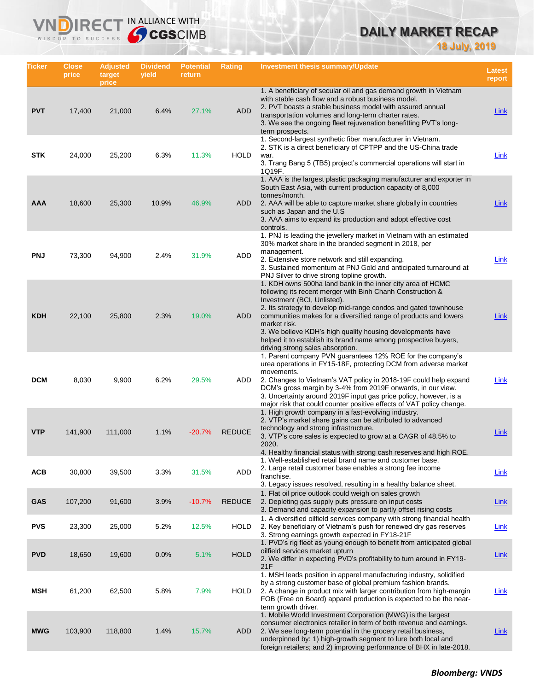# **DAILY MARKET RECAP**

**18 July, 2019**

| Ticker     | Close<br>price | <b>Adjusted</b><br>target<br>price | <b>Dividend</b><br>yield | <b>Potential</b><br>return | Rating        | Investment thesis summary/Update                                                                                                                                                                                                                                                                                                                                                                                                                                                    | <b>Latest</b><br>report |
|------------|----------------|------------------------------------|--------------------------|----------------------------|---------------|-------------------------------------------------------------------------------------------------------------------------------------------------------------------------------------------------------------------------------------------------------------------------------------------------------------------------------------------------------------------------------------------------------------------------------------------------------------------------------------|-------------------------|
| <b>PVT</b> | 17,400         | 21,000                             | 6.4%                     | 27.1%                      | <b>ADD</b>    | 1. A beneficiary of secular oil and gas demand growth in Vietnam<br>with stable cash flow and a robust business model.<br>2. PVT boasts a stable business model with assured annual<br>transportation volumes and long-term charter rates.<br>3. We see the ongoing fleet rejuvenation benefitting PVT's long-<br>term prospects.                                                                                                                                                   | <b>Link</b>             |
| <b>STK</b> | 24,000         | 25,200                             | 6.3%                     | 11.3%                      | <b>HOLD</b>   | 1. Second-largest synthetic fiber manufacturer in Vietnam.<br>2. STK is a direct beneficiary of CPTPP and the US-China trade<br>war.<br>3. Trang Bang 5 (TB5) project's commercial operations will start in<br>1Q19F.                                                                                                                                                                                                                                                               | Link                    |
| AAA        | 18,600         | 25,300                             | 10.9%                    | 46.9%                      | <b>ADD</b>    | 1. AAA is the largest plastic packaging manufacturer and exporter in<br>South East Asia, with current production capacity of 8,000<br>tonnes/month.<br>2. AAA will be able to capture market share globally in countries<br>such as Japan and the U.S.<br>3. AAA aims to expand its production and adopt effective cost<br>controls.                                                                                                                                                | <b>Link</b>             |
| <b>PNJ</b> | 73,300         | 94,900                             | 2.4%                     | 31.9%                      | ADD           | 1. PNJ is leading the jewellery market in Vietnam with an estimated<br>30% market share in the branded segment in 2018, per<br>management.<br>2. Extensive store network and still expanding.<br>3. Sustained momentum at PNJ Gold and anticipated turnaround at<br>PNJ Silver to drive strong topline growth.                                                                                                                                                                      | <b>Link</b>             |
| <b>KDH</b> | 22,100         | 25,800                             | 2.3%                     | 19.0%                      | <b>ADD</b>    | 1. KDH owns 500ha land bank in the inner city area of HCMC<br>following its recent merger with Binh Chanh Construction &<br>Investment (BCI, Unlisted).<br>2. Its strategy to develop mid-range condos and gated townhouse<br>communities makes for a diversified range of products and lowers<br>market risk.<br>3. We believe KDH's high quality housing developments have<br>helped it to establish its brand name among prospective buyers,<br>driving strong sales absorption. | Link                    |
| <b>DCM</b> | 8,030          | 9,900                              | 6.2%                     | 29.5%                      | ADD           | 1. Parent company PVN guarantees 12% ROE for the company's<br>urea operations in FY15-18F, protecting DCM from adverse market<br>movements.<br>2. Changes to Vietnam's VAT policy in 2018-19F could help expand<br>DCM's gross margin by 3-4% from 2019F onwards, in our view.<br>3. Uncertainty around 2019F input gas price policy, however, is a<br>major risk that could counter positive effects of VAT policy change.                                                         | Link                    |
| <b>VTP</b> | 141,900        | 111,000                            | 1.1%                     | $-20.7%$                   | <b>REDUCE</b> | 1. High growth company in a fast-evolving industry.<br>2. VTP's market share gains can be attributed to advanced<br>technology and strong infrastructure.<br>3. VTP's core sales is expected to grow at a CAGR of 48.5% to<br>2020.<br>4. Healthy financial status with strong cash reserves and high ROE.                                                                                                                                                                          | Link                    |
| <b>ACB</b> | 30,800         | 39,500                             | 3.3%                     | 31.5%                      | ADD           | 1. Well-established retail brand name and customer base.<br>2. Large retail customer base enables a strong fee income<br>franchise.<br>3. Legacy issues resolved, resulting in a healthy balance sheet.                                                                                                                                                                                                                                                                             | <b>Link</b>             |
| <b>GAS</b> | 107,200        | 91,600                             | 3.9%                     | $-10.7%$                   | <b>REDUCE</b> | 1. Flat oil price outlook could weigh on sales growth<br>2. Depleting gas supply puts pressure on input costs<br>3. Demand and capacity expansion to partly offset rising costs                                                                                                                                                                                                                                                                                                     | Link                    |
| <b>PVS</b> | 23,300         | 25,000                             | 5.2%                     | 12.5%                      | <b>HOLD</b>   | 1. A diversified oilfield services company with strong financial health<br>2. Key beneficiary of Vietnam's push for renewed dry gas reserves<br>3. Strong earnings growth expected in FY18-21F                                                                                                                                                                                                                                                                                      | Link                    |
| <b>PVD</b> | 18,650         | 19,600                             | 0.0%                     | 5.1%                       | <b>HOLD</b>   | 1. PVD's rig fleet as young enough to benefit from anticipated global<br>oilfield services market upturn<br>2. We differ in expecting PVD's profitability to turn around in FY19-<br>21F                                                                                                                                                                                                                                                                                            | <b>Link</b>             |
| MSH        | 61,200         | 62,500                             | 5.8%                     | 7.9%                       | <b>HOLD</b>   | 1. MSH leads position in apparel manufacturing industry, solidified<br>by a strong customer base of global premium fashion brands.<br>2. A change in product mix with larger contribution from high-margin<br>FOB (Free on Board) apparel production is expected to be the near-<br>term growth driver.                                                                                                                                                                             | <b>Link</b>             |
| <b>MWG</b> | 103,900        | 118,800                            | 1.4%                     | 15.7%                      | ADD           | 1. Mobile World Investment Corporation (MWG) is the largest<br>consumer electronics retailer in term of both revenue and earnings.<br>2. We see long-term potential in the grocery retail business,<br>underpinned by: 1) high-growth segment to lure both local and<br>foreign retailers; and 2) improving performance of BHX in late-2018.                                                                                                                                        | <u>Link</u>             |

IRECT IN ALLIANCE WITH

**VND** 

WISDOM TO SUCCESS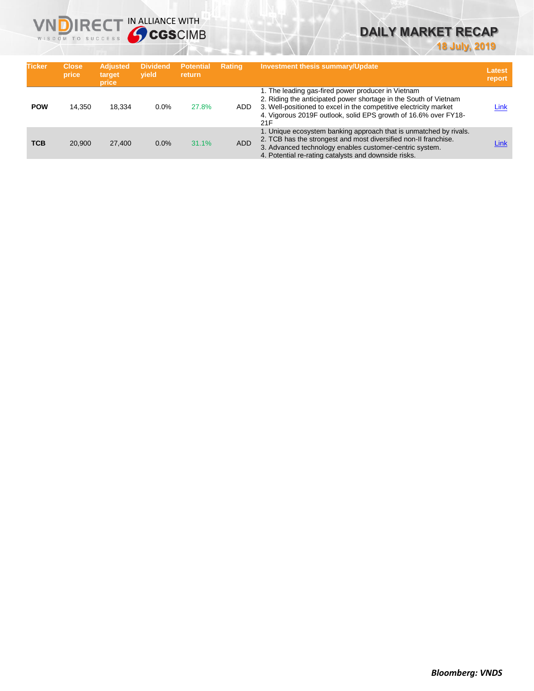

# **DAILY MARKET RECAP**

**18 July, 2019**

| <b>Ticker</b> | <b>Close</b><br>price | <b>Adjusted</b><br>target<br>price | <b>Dividend</b><br>vield | <b>Potential</b><br>return | <b>Rating</b> | <b>Investment thesis summary/Update</b>                                                                                                                                                                                                                               | Latest<br>report |
|---------------|-----------------------|------------------------------------|--------------------------|----------------------------|---------------|-----------------------------------------------------------------------------------------------------------------------------------------------------------------------------------------------------------------------------------------------------------------------|------------------|
| <b>POW</b>    | 14.350                | 18.334                             | 0.0%                     | 27.8%                      | ADD.          | 1. The leading gas-fired power producer in Vietnam<br>2. Riding the anticipated power shortage in the South of Vietnam<br>3. Well-positioned to excel in the competitive electricity market<br>4. Vigorous 2019F outlook, solid EPS growth of 16.6% over FY18-<br>21F | Link             |
| <b>TCB</b>    | 20,900                | 27,400                             | 0.0%                     | 31.1%                      | <b>ADD</b>    | 1. Unique ecosystem banking approach that is unmatched by rivals.<br>2. TCB has the strongest and most diversified non-II franchise.<br>3. Advanced technology enables customer-centric system.<br>4. Potential re-rating catalysts and downside risks.               | Link             |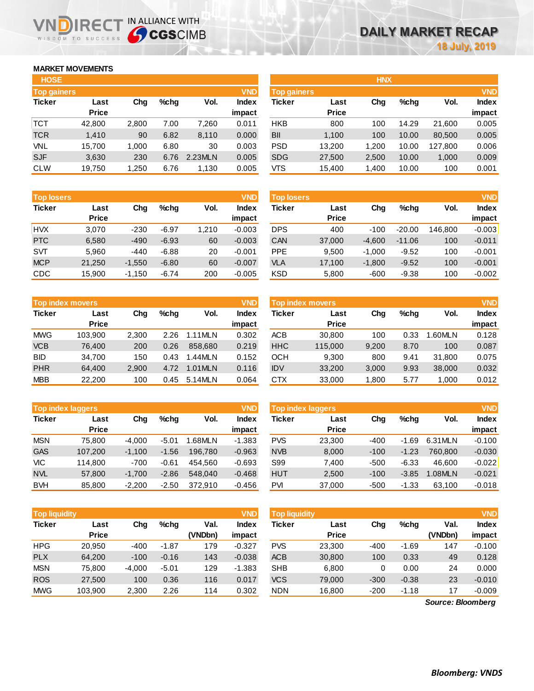## **MARKET MOVEMENTS**

WISDOM TO SUCCESS

n

| <b>HOSE</b>        |              |       |         |         |              | <b>HNX</b>         |              |       |         |         |              |
|--------------------|--------------|-------|---------|---------|--------------|--------------------|--------------|-------|---------|---------|--------------|
| <b>Top gainers</b> |              |       |         |         | <b>VND</b>   | <b>Top gainers</b> |              |       |         |         | <b>VND</b>   |
| <b>Ticker</b>      | Last         | Chg   | $%$ chq | Vol.    | <b>Index</b> | Ticker             | Last         | Chg   | $%$ chq | Vol.    | <b>Index</b> |
|                    | <b>Price</b> |       |         |         | impact       |                    | <b>Price</b> |       |         |         | impact       |
| <b>TCT</b>         | 42,800       | 2,800 | 7.00    | 7.260   | 0.011        | <b>HKB</b>         | 800          | 100   | 14.29   | 21.600  | 0.005        |
| <b>TCR</b>         | 1,410        | 90    | 6.82    | 8,110   | 0.000        | BII                | 1.100        | 100   | 10.00   | 80,500  | 0.005        |
| VNL                | 15.700       | 1.000 | 6.80    | 30      | 0.003        | <b>PSD</b>         | 13.200       | 1.200 | 10.00   | 127.800 | 0.006        |
| <b>SJF</b>         | 3,630        | 230   | 6.76    | 2.23MLN | 0.005        | <b>SDG</b>         | 27,500       | 2,500 | 10.00   | 1,000   | 0.009        |
| <b>CLW</b>         | 19,750       | 1,250 | 6.76    | 1,130   | 0.005        | VTS                | 15,400       | 1,400 | 10.00   | 100     | 0.001        |

**IRECT IN ALLIANCE WITH** 

| Top gainers |              |       |         |         | VND          | <b>Top gainers</b> |              |       |         |         | <b>VND</b>   |
|-------------|--------------|-------|---------|---------|--------------|--------------------|--------------|-------|---------|---------|--------------|
| Ticker      | Last         | Chg   | $%$ chq | Vol.    | <b>Index</b> | <b>Ticker</b>      | Last         | Chg   | $%$ chg | Vol.    | <b>Index</b> |
|             | <b>Price</b> |       |         |         | impact       |                    | <b>Price</b> |       |         |         | impact       |
| тст         | 42,800       | 2,800 | 7.00    | 7,260   | 0.011        | <b>HKB</b>         | 800          | 100   | 14.29   | 21.600  | 0.005        |
| TCR         | 1,410        | 90    | 6.82    | 8,110   | 0.000        | BII                | 1,100        | 100   | 10.00   | 80,500  | 0.005        |
| VNL         | 15,700       | 1,000 | 6.80    | 30      | 0.003        | <b>PSD</b>         | 13,200       | 1,200 | 10.00   | 127,800 | 0.006        |
| <b>SJF</b>  | 3,630        | 230   | 6.76    | 2.23MLN | 0.005        | <b>SDG</b>         | 27,500       | 2,500 | 10.00   | 1.000   | 0.009        |
| CLW         | 19,750       | 1,250 | 6.76    | 1,130   | 0.005        | VTS                | 15,400       | 1,400 | 10.00   | 100     | 0.001        |
|             |              |       |         |         |              |                    |              |       |         |         |              |
|             |              |       |         |         |              |                    |              |       |         |         |              |

**HNX**

| <b>Top losers</b>     |              |          |         |       | <b>VND</b>   |
|-----------------------|--------------|----------|---------|-------|--------------|
| <b>Ticker</b><br>Last |              | Cha      | %chq    | Vol.  | <b>Index</b> |
|                       | <b>Price</b> |          |         |       | impact       |
| <b>HVX</b>            | 3,070        | $-230$   | $-6.97$ | 1,210 | $-0.003$     |
| <b>PTC</b>            | 6,580        | $-490$   | $-6.93$ | 60    | $-0.003$     |
| <b>SVT</b>            | 5,960        | -440     | $-6.88$ | 20    | $-0.001$     |
| <b>MCP</b>            | 21,250       | $-1,550$ | $-6.80$ | 60    | $-0.007$     |
| CDC                   | 15,900       | $-1,150$ | $-6.74$ | 200   | $-0.005$     |

| Top index movers |              |       |      |         | <b>VND</b>   |
|------------------|--------------|-------|------|---------|--------------|
| <b>Ticker</b>    | Last         | Cha   | %chq | Vol.    | <b>Index</b> |
|                  | <b>Price</b> |       |      |         | impact       |
| <b>MWG</b>       | 103,900      | 2,300 | 2.26 | 1.11MLN | 0.302        |
| <b>VCB</b>       | 76,400       | 200   | 0.26 | 858,680 | 0.219        |
| <b>BID</b>       | 34,700       | 150   | 0.43 | 1.44MLN | 0.152        |
| <b>PHR</b>       | 64,400       | 2,900 | 4.72 | 1.01MLN | 0.116        |
| <b>MBB</b>       | 22,200       | 100   | 0.45 | 5.14MLN | 0.064        |

|               | <b>VND</b><br><b>Top index laggers</b> |          |         |         |              |  |  |  |  |  |  |
|---------------|----------------------------------------|----------|---------|---------|--------------|--|--|--|--|--|--|
| <b>Ticker</b> | Last                                   | Cha      | %chq    | Vol.    | <b>Index</b> |  |  |  |  |  |  |
|               | <b>Price</b>                           |          |         |         | impact       |  |  |  |  |  |  |
| <b>MSN</b>    | 75,800                                 | $-4,000$ | $-5.01$ | 1.68MLN | $-1.383$     |  |  |  |  |  |  |
| <b>GAS</b>    | 107,200                                | $-1,100$ | $-1.56$ | 196,780 | $-0.963$     |  |  |  |  |  |  |
| VIC           | 114,800                                | $-700$   | $-0.61$ | 454.560 | $-0.693$     |  |  |  |  |  |  |
| <b>NVL</b>    | 57,800                                 | $-1,700$ | $-2.86$ | 548,040 | $-0.468$     |  |  |  |  |  |  |
| <b>BVH</b>    | 85,800                                 | $-2,200$ | $-2.50$ | 372,910 | $-0.456$     |  |  |  |  |  |  |

| <b>Top losers</b> |              |          |         |       | VND      | <b>Top losers</b> |              |          |          |         | <b>VND</b>   |
|-------------------|--------------|----------|---------|-------|----------|-------------------|--------------|----------|----------|---------|--------------|
| <b>Ticker</b>     | Last         | Chg      | $%$ chq | Vol.  | Index    | Ticker            | Last         | Chg      | $%$ chq  | Vol.    | <b>Index</b> |
|                   | <b>Price</b> |          |         |       | impact   |                   | <b>Price</b> |          |          |         | impact       |
| <b>HVX</b>        | 3.070        | $-230$   | $-6.97$ | 1,210 | $-0.003$ | <b>DPS</b>        | 400          | $-100$   | $-20.00$ | 146.800 | $-0.003$     |
| <b>PTC</b>        | 6,580        | $-490$   | $-6.93$ | 60    | $-0.003$ | <b>CAN</b>        | 37,000       | $-4,600$ | $-11.06$ | 100     | $-0.011$     |
| <b>SVT</b>        | 5.960        | $-440$   | $-6.88$ | 20    | $-0.001$ | <b>PPE</b>        | 9.500        | $-1.000$ | $-9.52$  | 100     | $-0.001$     |
| <b>MCP</b>        | 21.250       | $-1.550$ | $-6.80$ | 60    | $-0.007$ | <b>VLA</b>        | 17,100       | $-1.800$ | $-9.52$  | 100     | $-0.001$     |
| CDC               | 15,900       | $-1,150$ | $-6.74$ | 200   | $-0.005$ | <b>KSD</b>        | 5,800        | $-600$   | $-9.38$  | 100     | $-0.002$     |
|                   |              |          |         |       |          |                   |              |          |          |         |              |

|            | <b>Top index movers</b> |                        |      |              | <b>VND</b> | <b>Top index movers</b> |              |       |      |              |        |
|------------|-------------------------|------------------------|------|--------------|------------|-------------------------|--------------|-------|------|--------------|--------|
| Ticker     | Last                    | Vol.<br>$%$ chq<br>Cha |      | <b>Index</b> | Ticker     | Last                    | Chg          | %chq  | Vol. | <b>Index</b> |        |
|            | <b>Price</b>            |                        |      |              | impact     |                         | <b>Price</b> |       |      |              | impact |
| <b>MWG</b> | 103.900                 | 2,300                  | 2.26 | 1.11MLN      | 0.302      | ACB                     | 30,800       | 100   | 0.33 | .60MLN       | 0.128  |
| <b>VCB</b> | 76,400                  | 200                    | 0.26 | 858,680      | 0.219      | <b>HHC</b>              | 115,000      | 9,200 | 8.70 | 100          | 0.087  |
| BID        | 34.700                  | 150                    | 0.43 | 1.44MLN      | 0.152      | ОСН                     | 9,300        | 800   | 9.41 | 31,800       | 0.075  |
| <b>PHR</b> | 64.400                  | 2.900                  | 4.72 | 1.01MLN      | 0.116      | <b>IDV</b>              | 33.200       | 3,000 | 9.93 | 38,000       | 0.032  |
| <b>MBB</b> | 22,200                  | 100                    | 0.45 | 5.14MLN      | 0.064      | <b>CTX</b>              | 33,000       | 1,800 | 5.77 | 1,000        | 0.012  |

|            | <b>Top index laggers</b> |          |         |         | <b>VND</b> | <b>Top index laggers</b> |              |        |         |          |              |
|------------|--------------------------|----------|---------|---------|------------|--------------------------|--------------|--------|---------|----------|--------------|
| Ticker     | Last                     | Chg      | $%$ chq | Vol.    | Index      | Ticker                   | Last         | Chg    | $%$ chq | Vol.     | <b>Index</b> |
|            | <b>Price</b>             |          |         |         | impact     |                          | <b>Price</b> |        |         |          | impact       |
| <b>MSN</b> | 75.800                   | $-4.000$ | $-5.01$ | 1.68MLN | $-1.383$   | <b>PVS</b>               | 23,300       | $-400$ | $-1.69$ | 6.31 MLN | $-0.100$     |
| <b>GAS</b> | 107.200                  | $-1.100$ | $-1.56$ | 196.780 | $-0.963$   | <b>NVB</b>               | 8,000        | $-100$ | $-1.23$ | 760.800  | $-0.030$     |
| VIC        | 114.800                  | $-700$   | $-0.61$ | 454.560 | $-0.693$   | S99                      | 7.400        | $-500$ | $-6.33$ | 46.600   | $-0.022$     |
| <b>NVL</b> | 57,800                   | $-1.700$ | $-2.86$ | 548,040 | $-0.468$   | <b>HUT</b>               | 2,500        | $-100$ | $-3.85$ | .08MLN   | $-0.021$     |
| <b>BVH</b> | 85,800                   | $-2.200$ | $-2.50$ | 372.910 | $-0.456$   | PVI                      | 37,000       | $-500$ | $-1.33$ | 63.100   | $-0.018$     |

| <b>Top liquidity</b> |              |          |         |         | <b>VND</b> | <b>Top liquidity</b> |              |        |         |                   | <b>VND</b>   |
|----------------------|--------------|----------|---------|---------|------------|----------------------|--------------|--------|---------|-------------------|--------------|
| <b>Ticker</b>        | Last         | Chg      | $%$ chq | Val.    | Index      | <b>Ticker</b>        | Last         | Chg    | $%$ chq | Val.              | <b>Index</b> |
|                      | <b>Price</b> |          |         | (VNDbn) | impact     |                      | <b>Price</b> |        |         | (VNDbn)           | impact       |
| <b>HPG</b>           | 20.950       | $-400$   | $-1.87$ | 179     | $-0.327$   | <b>PVS</b>           | 23.300       | $-400$ | $-1.69$ | 147               | $-0.100$     |
| <b>PLX</b>           | 64,200       | $-100$   | $-0.16$ | 143     | $-0.038$   | <b>ACB</b>           | 30,800       | 100    | 0.33    | 49                | 0.128        |
| <b>MSN</b>           | 75.800       | $-4.000$ | $-5.01$ | 129     | $-1.383$   | <b>SHB</b>           | 6.800        | 0      | 0.00    | 24                | 0.000        |
| <b>ROS</b>           | 27,500       | 100      | 0.36    | 116     | 0.017      | <b>VCS</b>           | 79.000       | $-300$ | $-0.38$ | 23                | $-0.010$     |
| <b>MWG</b>           | 103,900      | 2,300    | 2.26    | 114     | 0.302      | <b>NDN</b>           | 16,800       | $-200$ | $-1.18$ | 17                | $-0.009$     |
|                      |              |          |         |         |            |                      |              |        |         | Source: Bloomberg |              |

*Source: Bloomberg*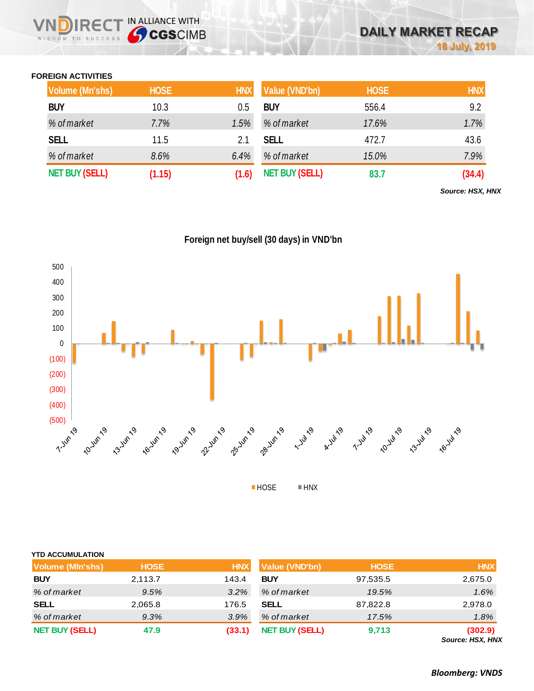## **FOREIGN ACTIVITIES**

WISDOM TO SUCCESS

**VNDIRECT IN ALLIANCE WITH** 

| <b>Volume (Mn'shs)</b> | <b>HOSE</b> | <b>HNX</b> | Value (VND'bn)        | <b>HOSE</b> | <b>HNX</b> |
|------------------------|-------------|------------|-----------------------|-------------|------------|
| <b>BUY</b>             | 10.3        | 0.5        | <b>BUY</b>            | 556.4       | 9.2        |
| % of market            | 7.7%        | 1.5%       | % of market           | 17.6%       | 1.7%       |
| <b>SELL</b>            | 11.5        | 2.1        | <b>SELL</b>           | 472.7       | 43.6       |
| % of market            | 8.6%        | 6.4%       | % of market           | 15.0%       | 7.9%       |
| <b>NET BUY (SELL)</b>  | (1.15)      | (1.6)      | <b>NET BUY (SELL)</b> | 83.7        | (34.4)     |

*Source: HSX, HNX*

**Foreign net buy/sell (30 days) in VND'bn**



| <b>YTD ACCUMULATION</b> |             |            |                       |             |                             |
|-------------------------|-------------|------------|-----------------------|-------------|-----------------------------|
| <b>Volume (MIn'shs)</b> | <b>HOSE</b> | <b>HNX</b> | <b>Value (VND'bn)</b> | <b>HOSE</b> | <b>HNX</b>                  |
| <b>BUY</b>              | 2,113.7     | 143.4      | <b>BUY</b>            | 97,535.5    | 2,675.0                     |
| % of market             | 9.5%        | 3.2%       | % of market           | 19.5%       | 1.6%                        |
| <b>SELL</b>             | 2,065.8     | 176.5      | <b>SELL</b>           | 87,822.8    | 2,978.0                     |
| % of market             | 9.3%        | 3.9%       | % of market           | 17.5%       | 1.8%                        |
| <b>NET BUY (SELL)</b>   | 47.9        | (33.1)     | <b>NET BUY (SELL)</b> | 9,713       | (302.9)<br>Source: HSX, HNX |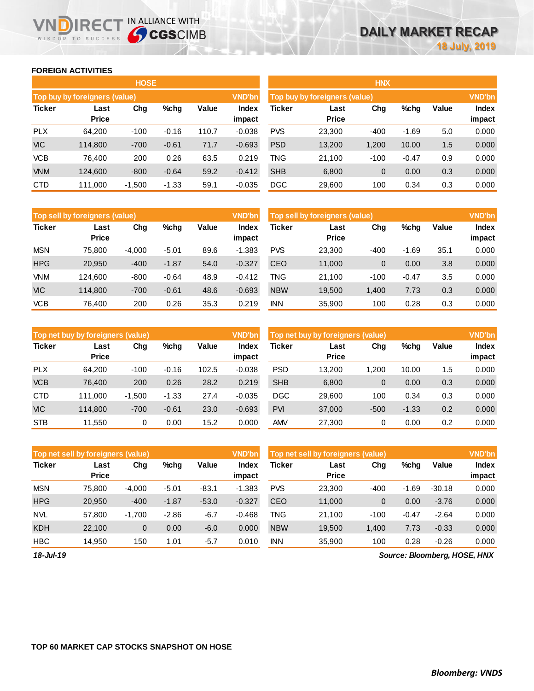## **FOREIGN ACTIVITIES**

WISDOM TO SUCCESS

ID

**IRECT IN ALLIANCE WITH** 

|               |                                              | <b>HOSE</b> |         |       |                 | <b>HNX</b> |                               |             |         |       |                        |  |  |
|---------------|----------------------------------------------|-------------|---------|-------|-----------------|------------|-------------------------------|-------------|---------|-------|------------------------|--|--|
|               | Top buy by foreigners (value)                |             |         |       | <b>VND'bn</b>   |            | Top buy by foreigners (value) |             |         |       | <b>VND'bn</b>          |  |  |
| <b>Ticker</b> | Chg<br>Value<br>%chg<br>Last<br><b>Price</b> |             |         |       | Index<br>impact | Ticker     | Last<br><b>Price</b>          | Chg         | %chg    | Value | <b>Index</b><br>impact |  |  |
| <b>PLX</b>    | 64,200                                       | $-100$      | $-0.16$ | 110.7 | $-0.038$        | <b>PVS</b> | 23,300                        | $-400$      | $-1.69$ | 5.0   | 0.000                  |  |  |
| <b>VIC</b>    | 114.800                                      | $-700$      | $-0.61$ | 71.7  | $-0.693$        | <b>PSD</b> | 13,200                        | 1,200       | 10.00   | 1.5   | 0.000                  |  |  |
| <b>VCB</b>    | 76.400                                       | 200         | 0.26    | 63.5  | 0.219           | <b>TNG</b> | 21.100                        | $-100$      | $-0.47$ | 0.9   | 0.000                  |  |  |
| <b>VNM</b>    | 124,600                                      | $-800$      | $-0.64$ | 59.2  | $-0.412$        | <b>SHB</b> | 6,800                         | $\mathbf 0$ | 0.00    | 0.3   | 0.000                  |  |  |
| <b>CTD</b>    | 111,000                                      | $-1,500$    | $-1.33$ | 59.1  | $-0.035$        | <b>DGC</b> | 29,600                        | 100         | 0.34    | 0.3   | 0.000                  |  |  |

|               | Top sell by foreigners (value) |          |         |       | <b>VND'bn</b>   | Top sell by foreigners (value) |                      |        |         |       |                 |
|---------------|--------------------------------|----------|---------|-------|-----------------|--------------------------------|----------------------|--------|---------|-------|-----------------|
| <b>Ticker</b> | Last<br><b>Price</b>           | Chg      | $%$ chg | Value | Index<br>impact | Ticker                         | Last<br><b>Price</b> | Chg    | %chg    | Value | Index<br>impact |
| <b>MSN</b>    | 75.800                         | $-4.000$ | $-5.01$ | 89.6  | $-1.383$        | <b>PVS</b>                     | 23.300               | $-400$ | $-1.69$ | 35.1  | 0.000           |
| <b>HPG</b>    | 20.950                         | $-400$   | $-1.87$ | 54.0  | $-0.327$        | <b>CEO</b>                     | 11,000               | 0      | 0.00    | 3.8   | 0.000           |
| <b>VNM</b>    | 124.600                        | $-800$   | $-0.64$ | 48.9  | $-0.412$        | TNG                            | 21.100               | $-100$ | $-0.47$ | 3.5   | 0.000           |
| <b>VIC</b>    | 114.800                        | $-700$   | $-0.61$ | 48.6  | $-0.693$        | <b>NBW</b>                     | 19,500               | 1,400  | 7.73    | 0.3   | 0.000           |
| <b>VCB</b>    | 76.400                         | 200      | 0.26    | 35.3  | 0.219           | <b>INN</b>                     | 35,900               | 100    | 0.28    | 0.3   | 0.000           |

|               | Top net buy by foreigners (value) |          |         |       | <b>VND'bn</b>   | Top net buy by foreigners (value) |                      |        |         |       |                        |
|---------------|-----------------------------------|----------|---------|-------|-----------------|-----------------------------------|----------------------|--------|---------|-------|------------------------|
| <b>Ticker</b> | Last<br><b>Price</b>              | Chg      | $%$ chq | Value | Index<br>impact | Ticker                            | Last<br><b>Price</b> | Chg    | %chg    | Value | <b>Index</b><br>impact |
| <b>PLX</b>    | 64.200                            | $-100$   | $-0.16$ | 102.5 | $-0.038$        | <b>PSD</b>                        | 13,200               | 1.200  | 10.00   | 1.5   | 0.000                  |
| <b>VCB</b>    | 76.400                            | 200      | 0.26    | 28.2  | 0.219           | <b>SHB</b>                        | 6,800                | 0      | 0.00    | 0.3   | 0.000                  |
| <b>CTD</b>    | 111.000                           | $-1.500$ | $-1.33$ | 27.4  | $-0.035$        | <b>DGC</b>                        | 29,600               | 100    | 0.34    | 0.3   | 0.000                  |
| <b>VIC</b>    | 114.800                           | $-700$   | $-0.61$ | 23.0  | $-0.693$        | <b>PVI</b>                        | 37,000               | $-500$ | $-1.33$ | 0.2   | 0.000                  |
| <b>STB</b>    | 11.550                            | 0        | 0.00    | 15.2  | 0.000           | AMV                               | 27,300               | 0      | 0.00    | 0.2   | 0.000                  |

|               | Top net sell by foreigners (value) |          |         |         | <b>VND'bn</b>   | Top net sell by foreigners (value) |                      | <b>VND'bn</b> |         |          |                 |
|---------------|------------------------------------|----------|---------|---------|-----------------|------------------------------------|----------------------|---------------|---------|----------|-----------------|
| <b>Ticker</b> | Last<br><b>Price</b>               | Chg      | %chg    | Value   | Index<br>impact | Ticker                             | Last<br><b>Price</b> | Chg           | %chg    | Value    | Index<br>impact |
| <b>MSN</b>    | 75.800                             | $-4.000$ | $-5.01$ | $-83.1$ | $-1.383$        | <b>PVS</b>                         | 23.300               | $-400$        | $-1.69$ | $-30.18$ | 0.000           |
| <b>HPG</b>    | 20,950                             | $-400$   | $-1.87$ | $-53.0$ | $-0.327$        | <b>CEO</b>                         | 11.000               | 0             | 0.00    | $-3.76$  | 0.000           |
| <b>NVL</b>    | 57,800                             | $-1.700$ | $-2.86$ | $-6.7$  | $-0.468$        | TNG                                | 21.100               | $-100$        | $-0.47$ | $-2.64$  | 0.000           |
| <b>KDH</b>    | 22,100                             | 0        | 0.00    | $-6.0$  | 0.000           | <b>NBW</b>                         | 19,500               | 1.400         | 7.73    | $-0.33$  | 0.000           |
| <b>HBC</b>    | 14.950                             | 150      | 1.01    | $-5.7$  | 0.010           | <b>INN</b>                         | 35.900               | 100           | 0.28    | $-0.26$  | 0.000           |

*18-Jul-19*

*Source: Bloomberg, HOSE, HNX*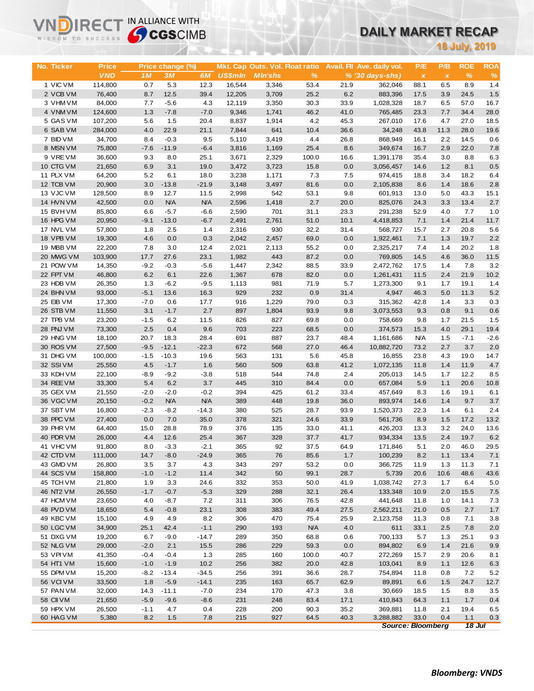# **DAILY MARKET RECAP**

| WISDOM TO SUCCESS      | <b>Sy CGS</b> CIMB    |                       |                      |                      |                          |                                 |                       |              | UAILT MARKET RECAP                     |                          |                     |                      |             |
|------------------------|-----------------------|-----------------------|----------------------|----------------------|--------------------------|---------------------------------|-----------------------|--------------|----------------------------------------|--------------------------|---------------------|----------------------|-------------|
|                        |                       |                       |                      |                      |                          |                                 |                       |              |                                        |                          |                     | <b>18 July, 2019</b> |             |
|                        |                       |                       |                      |                      |                          |                                 |                       |              |                                        |                          |                     |                      |             |
| No. Ticker             | Price                 |                       | Price change (%)     |                      |                          | Mkt. Cap Outs. Vol. Float ratio |                       |              | Avail. Fil Ave. daily vol.             | P/E                      | P/B                 | <b>ROE</b>           | <b>ROA</b>  |
| 1 VIC VM               | <b>VND</b><br>114,800 | 1 <sub>M</sub><br>0.7 | 3M<br>5.3            | 6M<br>12.3           | <b>US\$mln</b><br>16,544 | <b>MIn'shs</b><br>3,346         | $\frac{9}{6}$<br>53.4 | 21.9         | $% (30 \, \text{days-shs})$<br>362,046 | $\pmb{\chi}$<br>88.1     | $\pmb{\chi}$<br>6.5 | %<br>8.9             | $\%$<br>1.4 |
| 2 VCB VM               | 76,400                | 8.7                   | 12.5                 | 39.4                 | 12,205                   | 3,709                           | 25.2                  | 6.2          | 883,396                                | 17.5                     | 3.9                 | 24.5                 | 1.5         |
| 3 VHM VM               | 84,000                | 7.7                   | $-5.6$               | 4.3                  | 12,119                   | 3,350                           | 30.3                  | 33.9         | 1,028,328                              | 18.7                     | 6.5                 | 57.0                 | 16.7        |
| 4 VNM VM               | 124,600               | 1.3                   | $-7.8$               | $-7.0$               | 9,346                    | 1,741                           | 46.2                  | 41.0         | 765,485                                | 23.3                     | 7.7                 | 34.4                 | 28.0        |
| 5 GAS VM               | 107,200               | 5.6                   | 1.5                  | 20.4                 | 8,837                    | 1,914                           | 4.2                   | 45.3         | 267,010                                | 17.6                     | 4.7                 | 27.0                 | 18.5        |
| 6 SAB VM               | 284,000               | 4.0                   | 22.9                 | 21.1                 | 7,844                    | 641                             | 10.4                  | 36.6         | 34,248                                 | 43.8                     | 11.3                | 28.0                 | 19.6        |
| 7 BID VM               | 34,700                | 8.4                   | $-0.3$               | 9.5                  | 5,110                    | 3,419                           | 4.4                   | 26.8         | 868,949                                | 16.1                     | 2.2                 | 14.5                 | 0.6         |
| 8 MSN VM               | 75,800                | $-7.6$                | $-11.9$              | $-6.4$               | 3,816                    | 1,169                           | 25.4                  | 8.6          | 349,674                                | 16.7                     | 2.9                 | 22.0                 | 7.8         |
| 9 VREVM                | 36,600                | 9.3                   | 8.0                  | 25.1                 | 3,671                    | 2,329                           | 100.0                 | 16.6         | 1,391,178                              | 35.4                     | 3.0                 | 8.8                  | 6.3         |
| 10 CTG VM              | 21,650                | 6.9                   | 3.1                  | 19.0                 | 3,472                    | 3,723                           | 15.8                  | 0.0          | 3,056,457                              | 14.6                     | 1.2                 | 8.1                  | 0.5         |
| 11 PLX VM              | 64,200                | 5.2                   | 6.1                  | 18.0                 | 3,238                    | 1,171                           | 7.3                   | 7.5          | 974,415                                | 18.8                     | 3.4                 | 18.2                 | 6.4         |
| 12 TCB VM<br>13 VJC VM | 20,900<br>128,500     | 3.0<br>8.9            | $-13.8$<br>12.7      | $-21.9$<br>11.5      | 3,148<br>2,998           | 3,497<br>542                    | 81.6<br>53.1          | 0.0<br>9.8   | 2,105,838<br>601,913                   | 8.6<br>13.0              | 1.4<br>5.0          | 18.6<br>43.3         | 2.8<br>15.1 |
| 14 HVN VM              | 42,500                | 0.0                   | <b>N/A</b>           | <b>N/A</b>           | 2,596                    | 1,418                           | 2.7                   | 20.0         | 825,076                                | 24.3                     | 3.3                 | 13.4                 | 2.7         |
| 15 BVHVM               | 85,800                | 6.6                   | $-5.7$               | $-6.6$               | 2,590                    | 701                             | 31.1                  | 23.3         | 291,238                                | 52.9                     | 4.0                 | 7.7                  | 1.0         |
| 16 HPG VM              | 20,950                | $-9.1$                | $-13.0$              | $-6.7$               | 2,491                    | 2,761                           | 51.0                  | 10.1         | 4,418,853                              | 7.1                      | 1.4                 | 21.4                 | 11.7        |
| 17 NVL VM              | 57,800                | 1.8                   | 2.5                  | 1.4                  | 2,316                    | 930                             | 32.2                  | 31.4         | 568,727                                | 15.7                     | 2.7                 | 20.8                 | 5.6         |
| 18 VPB VM              | 19,300                | 4.6                   | 0.0                  | 0.3                  | 2,042                    | 2,457                           | 69.0                  | 0.0          | 1,922,461                              | 7.1                      | 1.3                 | 19.7                 | 2.2         |
| 19 MBB VM              | 22,200                | 7.8                   | 3.0                  | 12.4                 | 2,021                    | 2,113                           | 55.2                  | 0.0          | 2,325,217                              | 7.4                      | 1.4                 | 20.2                 | 1.8         |
| 20 MWG VM              | 103,900               | 17.7                  | 27.6                 | 23.1                 | 1,982                    | 443                             | 87.2                  | 0.0          | 769,805                                | 14.5                     | 4.6                 | 36.0                 | 11.5        |
| 21 POW VM              | 14,350                | $-9.2$                | $-0.3$               | $-5.6$               | 1,447                    | 2,342                           | 88.5                  | 33.9         | 2,472,762                              | 17.5                     | 1.4                 | 7.8                  | 3.2         |
| 22 FPT VM              | 46,800                | 6.2                   | 6.1                  | 22.6                 | 1,367                    | 678                             | 82.0                  | 0.0          | 1,261,431                              | 11.5                     | 2.4                 | 21.9                 | 10.2        |
| 23 HDB VM              | 26,350                | 1.3                   | $-6.2$               | $-9.5$               | 1,113                    | 981                             | 71.9                  | 5.7          | 1,273,300                              | 9.1                      | 1.7                 | 19.1                 | 1.4         |
| 24 BHN VM<br>25 EIB VM | 93,000                | $-5.1$<br>$-7.0$      | 13.6                 | 16.3                 | 929<br>916               | 232                             | 0.9<br>79.0           | 31.4         | 4,947                                  | 46.3                     | 5.0<br>1.4          | 11.3                 | 5.2         |
| 26 STB VM              | 17,300<br>11,550      | 3.1                   | 0.6<br>$-1.7$        | 17.7<br>2.7          | 897                      | 1,229<br>1,804                  | 93.9                  | 0.3<br>9.8   | 315,362<br>3,073,553                   | 42.8<br>9.3              | 0.8                 | 3.3<br>9.1           | 0.3<br>0.6  |
| 27 TPB VM              | 23,200                | $-1.5$                | 6.2                  | 11.5                 | 826                      | 827                             | 69.8                  | 0.0          | 758,669                                | 9.8                      | 1.7                 | 21.5                 | 1.5         |
| 28 PNJ VM              | 73,300                | 2.5                   | 0.4                  | 9.6                  | 703                      | 223                             | 68.5                  | 0.0          | 374,573                                | 15.3                     | 4.0                 | 29.1                 | 19.4        |
| 29 HNG VM              | 18,100                | 20.7                  | 18.3                 | 28.4                 | 691                      | 887                             | 23.7                  | 48.4         | 1,161,686                              | <b>N/A</b>               | 1.5                 | $-7.1$               | $-2.6$      |
| 30 ROS VM              | 27,500                | $-9.5$                | $-12.1$              | $-22.3$              | 672                      | 568                             | 27.0                  | 46.4         | 10,882,720                             | 73.2                     | 2.7                 | 3.7                  | 2.0         |
| 31 DHG VM              | 100,000               | $-1.5$                | $-10.3$              | 19.6                 | 563                      | 131                             | 5.6                   | 45.8         | 16,855                                 | 23.8                     | 4.3                 | 19.0                 | 14.7        |
| 32 SSIVM               | 25,550                | 4.5                   | $-1.7$               | 1.6                  | 560                      | 509                             | 63.8                  | 41.2         | 1,072,135                              | 11.8                     | 1.4                 | 11.9                 | 4.7         |
| 33 KDH VM              | 22,100                | $-8.9$                | $-9.2$               | $-3.8$               | 518                      | 544                             | 74.8                  | 2.4          | 205,013                                | 14.5                     | 1.7                 | 12.2                 | 8.5         |
| 34 REE VM              | 33,300                | 5.4                   | 6.2                  | 3.7                  | 445                      | 310                             | 84.4                  | 0.0          | 657,084                                | 5.9                      | 1.1                 | 20.6                 | 10.8        |
| 35 GEX VM<br>36 VGC VM | 21,550<br>20,150      | $-2.0$<br>$-0.2$      | $-2.0$<br><b>N/A</b> | $-0.2$<br><b>N/A</b> | 394<br>389               | 425<br>448                      | 61.2<br>19.8          | 33.4<br>36.0 | 457,649                                | 8.3                      | 1.6<br>1.4          | 19.1<br>9.7          | 6.1         |
| 37 SBT VM              | 16,800                | $-2.3$                | $-8.2$               | $-14.3$              | 380                      | 525                             | 28.7                  | 93.9         | 893,974<br>1,520,373                   | 14.6<br>22.3             | 1.4                 | 6.1                  | 3.7<br>2.4  |
| 38 PPC VM              | 27,400                | 0.0                   | 7.0                  | 35.0                 | 378                      | 321                             | 24.6                  | 33.9         | 561,736                                | 8.9                      | 1.5                 | 17.2                 | 13.2        |
| 39 PHR VM              | 64,400                | 15.0                  | 28.8                 | 78.9                 | 376                      | 135                             | 33.0                  | 41.1         | 426,203                                | 13.3                     | 3.2                 | 24.0                 | 13.6        |
| 40 PDR VM              | 26,000                | 4.4                   | 12.6                 | 25.4                 | 367                      | 328                             | 37.7                  | 41.7         | 934,334                                | 13.5                     | 2.4                 | 19.7                 | $6.2\,$     |
| 41 VHC VM              | 91,800                | 8.0                   | $-3.3$               | $-2.1$               | 365                      | 92                              | 37.5                  | 64.9         | 171,846                                | 5.1                      | 2.0                 | 46.0                 | 29.5        |
| 42 CTD VM              | 111,000               | 14.7                  | $-8.0$               | $-24.9$              | 365                      | 76                              | 85.6                  | 1.7          | 100,239                                | 8.2                      | 1.1                 | 13.4                 | 7.1         |
| 43 GMD VM              | 26,800                | 3.5                   | 3.7                  | 4.3                  | 343                      | 297                             | 53.2                  | 0.0          | 366,725                                | 11.9                     | 1.3                 | 11.3                 | 7.1         |
| 44 SCS VM              | 158,800               | $-1.0$                | $-1.2$               | 11.4                 | 342                      | 50                              | 99.1                  | 28.7         | 5,739                                  | 20.6                     | 10.6                | 48.6                 | 43.6        |
| 45 TCH VM              | 21,800                | 1.9                   | 3.3                  | 24.6                 | 332                      | 353                             | 50.0                  | 41.9         | 1,038,742                              | 27.3                     | 1.7                 | 6.4                  | 5.0         |
| 46 NT2 VM              | 26,550                | $-1.7$                | $-0.7$               | $-5.3$               | 329                      | 288                             | 32.1                  | 26.4         | 133,348                                | 10.9                     | 2.0                 | 15.5                 | $7.5$       |
| 47 HCM VM<br>48 PVD VM | 23,650<br>18,650      | 4.0<br>5.4            | $-8.7$<br>$-0.8$     | 7.2<br>23.1          | 311<br>308               | 306<br>383                      | 76.5<br>49.4          | 42.8<br>27.5 | 441,648<br>2,562,211                   | 11.8<br>21.0             | 1.0<br>0.5          | 14.1<br>2.7          | 7.3<br>1.7  |
| 49 KBC VM              | 15,100                | 4.9                   | 4.9                  | 8.2                  | 306                      | 470                             | 75.4                  | 25.9         | 2,123,758                              | 11.3                     | 0.8                 | 7.1                  | 3.8         |
| 50 LGC VM              | 34,900                | 25.1                  | 42.4                 | $-1.1$               | 290                      | 193                             | <b>N/A</b>            | 4.0          | 611                                    | 33.1                     | 2.5                 | 7.8                  | 2.0         |
| 51 DXG VM              | 19,200                | 6.7                   | $-9.0$               | $-14.7$              | 289                      | 350                             | 68.8                  | 0.6          | 700,133                                | 5.7                      | 1.3                 | 25.1                 | 9.3         |
| 52 NLG VM              | 29,000                | $-2.0$                | 2.1                  | 15.5                 | 286                      | 229                             | 59.3                  | 0.0          | 894,802                                | 6.9                      | 1.4                 | 21.6                 | 9.9         |
| 53 VPI VM              | 41,350                | $-0.4$                | $-0.4$               | 1.3                  | 285                      | 160                             | 100.0                 | 40.7         | 272,269                                | 15.7                     | 2.9                 | 20.6                 | 8.1         |
| 54 HT1 VM              | 15,600                | $-1.0$                | $-1.9$               | 10.2                 | 256                      | 382                             | 20.0                  | 42.8         | 103,041                                | 8.9                      | 1.1                 | 12.6                 | 6.3         |
| 55 DPM VM              | 15,200                | $-8.2$                | -13.4                | $-34.5$              | 256                      | 391                             | 36.6                  | 28.7         | 754,894                                | 11.8                     | 0.8                 | 7.2                  | 5.2         |
| 56 VCIVM               | 33,500                | 1.8                   | $-5.9$               | $-14.1$              | 235                      | 163                             | 65.7                  | 62.9         | 89,891                                 | 6.6                      | 1.5                 | 24.7                 | 12.7        |
| 57 PAN VM              | 32,000                | 14.3                  | $-11.1$              | $-7.0$               | 234                      | 170                             | 47.3                  | 3.8          | 30,669                                 | 18.5                     | $1.5$               | 8.8                  | 3.5         |
| 58 CII VM              | 21,650                | $-5.9$                | $-9.6$               | $-8.6$               | 231                      | 248                             | 83.4                  | 17.1         | 410,843                                | 64.3                     | 1.1                 | 1.7                  | 0.4         |
| 59 HPX VM<br>60 HAG VM | 26,500<br>5,380       | $-1.1$<br>8.2         | 4.7<br>1.5           | 0.4<br>7.8           | 228<br>215               | 200<br>927                      | 90.3<br>64.5          | 35.2<br>40.3 | 369,881<br>3,288,882                   | 11.8<br>33.0             | 2.1<br>0.4          | 19.4<br>1.1          | 6.5<br>0.3  |
|                        |                       |                       |                      |                      |                          |                                 |                       |              |                                        | <b>Source: Bloomberg</b> |                     | <b>18 Jul</b>        |             |

**VNDIRECT IN ALLIANCE WITH**